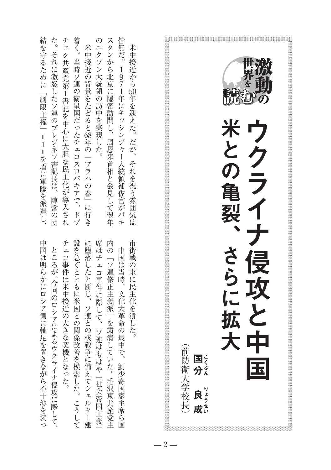| 米<br>·中接近から50年を迎えた。だが、それを祝う雰囲気は | 市<br>街戦の末に民主化を潰した。              |
|---------------------------------|---------------------------------|
| 皆無だ。<br>1971年にキッシンジャー大統領補佐官がパキ  | 中国は当時、文化大革命の最中で、<br>劉少奇国家主席ら国   |
| スタンから北京に隠密訪問し、<br>周恩来首相と会見して翌年  | 内の「ソ連修正主義派」を粛清していた。毛沢東共産党主      |
| のニクソン大統領の訪中を実現した。               | 席はチェコ事件に際して、ソ連はもはや「社会帝国主義」      |
| 米中接近の背景をたどると68年の「プラハの春」に行き      | に堕落したと断じ、ソ連との核戦争に備えてシェルター建      |
| 着く。当時ソ連の衛星国だったチェコスロバキアで、ドプ      | 設を急ぐとともに米国との関係改善を模索した。こうして      |
| チェク共産党第1書記を中心に大胆な民主化が導入され       | チェコ事件は米中接近の大きな契機となった。           |
| た。それに激怒したソ連のブレジネフ書記長は、陣営の団      | ところが、今回のロシアによるウクライナ侵攻に際して、      |
| 結を守るために「制限主権」=1=を盾に軍隊を派遣し、      | 中<br>-国は明らかにロシア側に軸足を置きながら不干渉を装っ |



 $-2-$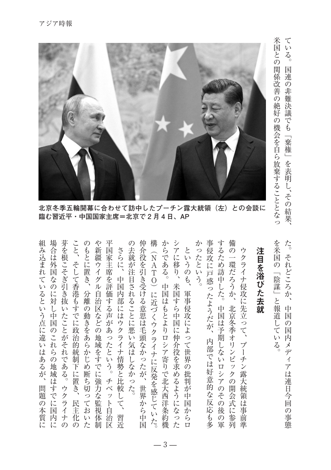

米国との関係の機会を自ら放棄することになっていることになっていることになっていることになっていることになっていることになっていることになっていることになっていることになっていることになっていることになっていることになって 、その結果、 その結果、 その結果、 その結果、 その結果、 その結果、 その結果、 その結果、 その結果、 その結果、 その結果、 その結果、 その結果、 その結果、 その結果、 その結果、 その結果、 その結果、 その結果、 その結果、 その結果、 その結果、 その結果、 その結果、 その結果、 その結果、 その結果、 その結果、 その結果、 その結果、 その結果、 その結果、 その結果、 その結果、 その結果、 その結果、 その結果

米国との関係改善の絶好の機会を自ら放棄することとなっ

1連の非難決議でも「棄権」を表明し、その結果、

てい

 $\mathcal{Z}_{\circ}$ 国

北京冬季五輪開幕に合わせて訪中したプーチン露大統領(左)との会談に 臨む習近平·中国国家主席=北京で2月4日、AP

場合は外国なの こと、そして香港もすでに政治的統制下に置き、 や新疆ウイグル自治区 平国家主 仲介役を引き受ける意思は毛頭なかったが、世界から中国 構 からである。中国はもとよりロシア寄りで北大西洋条約機 シアに移り、米国すら中国に仲介役を求めるようになった 事侵攻に戸惑ったようだが、 するため訪中した。 備の一環だろうか、北京冬季オリンピックの開会式に を米国の「陰謀」と報道してい た。それどころか、 組み込まれているという点に違いはあるが、 芽を根こそぎ引き抜いたことがそれである。 のもとに置き、 の去就が注目されることに悪い気はしなかった。 かったという。 問題の本質に、組み込まれているという点に違いはあるが ものには外国のこれらの地域は特に関する場合があります。 ウクライナの。芽を根こそぎ引き抜いたことがそれである 民主化の、そして香港もすでに政治的統制下に置き、こと 分離の動きをあらかじめ断ち切っておいた、のもとに置き や新疆ウイグル自治区などの地域をすでに強力な監視体制 チベット自治区。平国家主席を評価する声があったという 。これは、これは、これは、これは、これはしなかった。 こうしょう こうしょう しょうしょう 世界から中国、仲介役を引き受ける意思は毛頭なかったが 中国はもとは、日本の地下の北大西洋条約機能。からである。 米国などの キャラン かいしゅう かいしゅう かいしゅう かいしゅう かいしゅう かいしゅう かいしゅう かいしゅう かいしゅう かいしゅう かいしゅう かいしゅう かいしゅう 下野では、そのように戸影のように下野では、そのように戸影のように戸影のように戸影のように戸影のように戸影のように、 中国はアルバーの軍。するため、ロシアの後の軍。するため、日本の軍。 化大学 ポリンピック はっきょう はんしゅう しゅうしゅう しゅうしゅう しゅうしゅう しゅうしゅう しゅうしゅう しゅうしゅう しゅうしゅう しゅうしゅう しゅうしゅう 。と、 いちのこと しょうしょう しょうしょう しょうしょう しょうしょう しょうしょう しょうしょう しょうしょう しょうしょうしょう しょうしょうしょう しょうしょう 中国の国内メディアは連日今回の事態、それどころが、それどころが、それどころが、それどころが、それどころか。ただ、それどころか。ただ、それどころか。ただ、それどころか。ただ、それどころか。ただ、それどこ さらに、 というのも、 ウクライナ侵攻に先立って、 注目を浴びた去 習近、中国内部にはウクライナ情勢と比較して、さらに 軍事侵攻によって世界の批判が中国からロ、というのも プーチン露大統領は事前準、ウクライナ侵攻に先立って 作品 こうしょう こうしょう こうしょう こうしょう こうしゃ こうしゃ こうしゃ こうしゃ こうしゃ こうしゃ アイ・プライン 席を評価する声があったとい 中国内部にはウクライナ情勢と比較して、 このうち かいしゃ こうしゅう かんきょう しゅうしょう しょうしょう 軍事侵攻によって世界の批判が中 に対し中国のこれらの地域はすでに国 分離の動きをあらかじめ断ち切ってお 中国は予期しないロシアのその 中国 就 などの地域をすでに強力な監視 :の国内メディ 内部では好意的な反応も多 プーチン露大統領は事  $\zeta$  $\zeta$ アは連日今回 チベット自 ゥ 問 円題の クライ 民主化 国 本 後 か  $\sigma$ 平質に 丙に 体 習近  $\ddot{6}$ の軍 1参列 事 ナ  $\overline{V}$ 治 前 た。  $\mathcal{O}$ 熊  $\mathcal{O}$ た 制 区  $\Box$ 進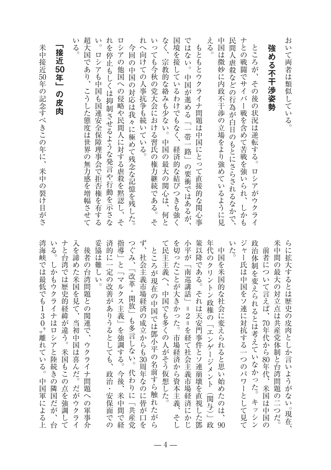| おいて両者は類似している。                                     | らに拡大するとは歴史の皮肉としか言いようがない。現在、                              |
|---------------------------------------------------|----------------------------------------------------------|
| める不干渉姿勢                                           | 米中間の最大の対立点は共産党体制と台湾問題の二つだ。                               |
| 強                                                 | 前者について言えば、<br>70年代から80年代、<br>米国は中国<br>$\sigma$           |
| ところが、その後の状況は逆転する。ロシアがウクライ                         | 政治体制を変えられるとは考えていなかった。キッシン                                |
| ナとの戦闘でサイバー戦を含めて苦戦を強いられ、しかも                        | ジャー氏は中国をソ連に対抗する一つのパワーとして見て                               |
| 民<br>間人虐殺などの行為が白日のもとにさらされるなかで、                    | L)<br>た。                                                 |
| 中国は微妙に内政不干渉の立場をより強めているように見                        | 中国を米国的な社会に変えられると思い始めたのは、90                               |
| える。                                               | 年代のクリントン政権の「エンゲージメント(関与)」政                               |
| もともとウクライナ問題は中国にとって直接的な関心事                         | 策以降である。それは天安門事件とソ連崩壊を直視した鄧                               |
| ではない。中国が進める「一帯一路」の要衝ではあるが、                        | 小平が「南巡講話」=2=を経て社会主義市場経済にかじ                               |
| 国<br>境を接しているわけでもなく、経済的な結びつきも強く                    | を切ったことが大きかった。市場経済から資本主義、<br>そし                           |
| なく、<br>宗教的な絡みも少ない。<br>中国の最大の関心は、何と                | て民主主義へ、中国でも多くの人がそう仮想した。                                  |
| いっても今秋の党大会における習氏の権力継続である。そ                        | ところが現在の中国では鄧小平の名前すら触れたがら                                 |
| れ<br>へ向<br>:けての人事抗争も続いている。                        | ず、社会主義市場経済の成立からも30周年なのに皆が口<br>ど                          |
| 今回の中国の対応は我々に極めて残念な記憶を残した。                         | つぐみ、「改革・開放」も多言しない。代わりに「共産党                               |
| ロシアの他国への侵略や民間人に対する虐殺を黙認し、そ                        | 指導」と「マルクス主義」を強調する。今後、米中間で経                               |
| れ<br>を停止<br>もしくは抑制させるような発言や行動を示さな                 | 済的に一定の改善がありうるとしても、<br>政治・安保面での                           |
| $\sqrt{ }$<br>$\circ$<br>ロシアも中国も国連安全保障理事会で拒否権を有する | 妥協は難しい。                                                  |
| 超大国であり、こうした態度は世界の無力感を増幅させて                        | 後者の台湾問題との関連で、ウクライナ問題への軍事介                                |
| V١<br>$\frac{2}{3}$                               | 入を諦めた米国を見て、当初中国は喜んだ。だがウクライ                               |
| 「接近50年」<br>の皮肉                                    | ナと台湾では歴史的経緯が違う。米国もこの点を強調して<br>いる。しかもウクライナはロシアと陸続きの隣国だが、台 |
| 米中接近50年の記念すべきこの年に、米中の裂け目がさ                        | 湾海峡では最低でも130㌔離れている。中国軍による上                               |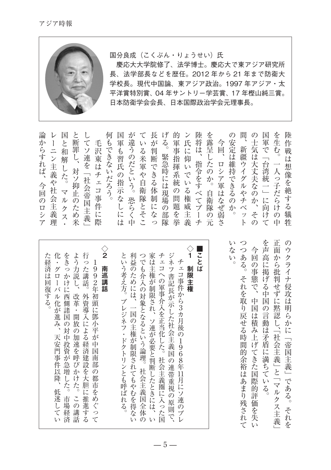

## 国分良成(こくぶん・りょうせい)氏

慶応大大学院修了、法学博士。慶応大で東アジア研究所 長、法学部長などを歴任。2012年から21年まで防衛大 学校長。現代中国論、東アジア政治。1997年アジア・太 平洋賞特別賞、04年サントリー学芸賞、17年樫山純三賞。 日本防衛学会会長、日本国際政治学会元理事長。

| 論<br>か<br>らすれば、<br>今回<br>$\overline{\sigma}$<br>$\Box$<br>シ<br>$\mathcal{T}$ | レ<br>ニン主義や社会主義理 | 国<br>と<br>和<br>解<br><b>^した。</b><br>$\blacktriangledown$<br>ル<br>ケ<br>ス | 断<br>罪<br>Ļ<br>、対ソ抑<br>止の<br>た<br>め米 | $\tau$<br>ソ<br>連を<br>「社会帝国主義」 | 毛<br>沢<br>5東はチ<br>$\mathbf{r}$<br>一コ事<br>件<br>に<br>際 | 何<br>f<br>できな<br>いだろう。 | 国軍<br>-も習氏<br>ハの指示.<br>な<br>し<br>に<br>は | が<br>違うのだという。<br>恐<br>ら<br>中 | て<br>Λ,<br>と<br>そ<br>こ | 長<br>が<br>いる米軍や自衛隊,<br>に<br>な<br>っ | げ<br>$\zeta$<br>緊急時には現場<br>$\mathcal{O}$<br>部<br>隊 | 的<br>軍<br>を<br>挙 | ン<br>氏<br>事指揮系統の問題を<br>義 | 陸将<br>は<br>$\lambda$<br>指<br>$\tau$<br>プ<br>$\Box$<br>チ | を露呈した<br>いか<br>4令をすべ<br>自<br>衛<br>隊<br>$\mathcal{O}$<br>元 | 今回<br>ロシア軍は<br>ぶなぜ<br>弱<br>$\tilde{\mathcal{S}}$ | $\mathcal{O}$<br>安定は<br>維持できるの<br>か<br>$\circ$ | 間<br>新疆ウ<br>ィ<br>グ<br>ルや<br>チ<br>$\sim$ .<br>ッ<br>F | の<br>士<br>気<br>は大丈夫<br>なの<br>ゕ<br>そ<br>$\mathcal{O}$ | 国<br>軍<br>で<br>$\overline{\phantom{0}}$<br>台湾統<br>$\longrightarrow$<br>$\overline{\phantom{0}}$<br>に<br>向<br>け<br>$\tau$ | を生む。<br>一人っ子だら<br>ら<br>l<br>$\mathcal{O}$<br>中 | 陸<br>作<br>戦<br>$i\pm$<br>$\zeta$<br>犠<br>牲 |
|------------------------------------------------------------------------------|-----------------|------------------------------------------------------------------------|--------------------------------------|-------------------------------|------------------------------------------------------|------------------------|-----------------------------------------|------------------------------|------------------------|------------------------------------|----------------------------------------------------|------------------|--------------------------|---------------------------------------------------------|-----------------------------------------------------------|--------------------------------------------------|------------------------------------------------|-----------------------------------------------------|------------------------------------------------------|--------------------------------------------------------------------------------------------------------------------------|------------------------------------------------|--------------------------------------------|
|------------------------------------------------------------------------------|-----------------|------------------------------------------------------------------------|--------------------------------------|-------------------------------|------------------------------------------------------|------------------------|-----------------------------------------|------------------------------|------------------------|------------------------------------|----------------------------------------------------|------------------|--------------------------|---------------------------------------------------------|-----------------------------------------------------------|--------------------------------------------------|------------------------------------------------|-----------------------------------------------------|------------------------------------------------------|--------------------------------------------------------------------------------------------------------------------------|------------------------------------------------|--------------------------------------------|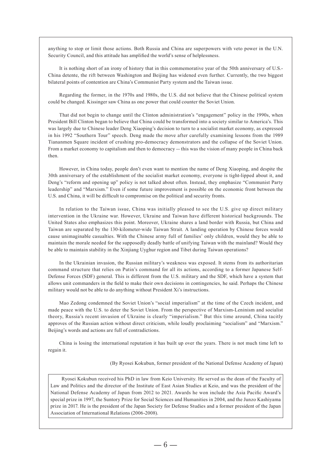anything to stop or limit those actions. Both Russia and China are superpowers with veto power in the U.N. Security Council, and this attitude has amplified the world's sense of helplessness.

It is nothing short of an irony of history that in this commemorative year of the 50th anniversary of U.S.-China detente, the rift between Washington and Beijing has widened even further. Currently, the two biggest bilateral points of contention are China's Communist Party system and the Taiwan issue.

Regarding the former, in the 1970s and 1980s, the U.S. did not believe that the Chinese political system could be changed. Kissinger saw China as one power that could counter the Soviet Union.

That did not begin to change until the Clinton administration's "engagement" policy in the 1990s, when President Bill Clinton began to believe that China could be transformed into a society similar to America's. This was largely due to Chinese leader Deng Xiaoping's decision to turn to a socialist market economy, as expressed in his 1992 "Southern Tour" speech. Deng made the move after carefully examining lessons from the 1989 Tiananmen Square incident of crushing pro-democracy demonstrators and the collapse of the Soviet Union. From a market economy to capitalism and then to democracy -- this was the vision of many people in China back .then

However, in China today, people don't even want to mention the name of Deng Xiaoping, and despite the 30th anniversary of the establishment of the socialist market economy, everyone is tight-lipped about it, and Deng's "reform and opening up" policy is not talked about often. Instead, they emphasize "Communist Party" leadership" and "Marxism." Even if some future improvement is possible on the economic front between the U.S. and China, it will be difficult to compromise on the political and security fronts.

In relation to the Taiwan issue, China was initially pleased to see the U.S. give up direct military intervention in the Ukraine war. However, Ukraine and Taiwan have different historical backgrounds. The United States also emphasizes this point. Moreover, Ukraine shares a land border with Russia, but China and Taiwan are separated by the 130-kilometer-wide Taiwan Strait. A landing operation by Chinese forces would cause unimaginable casualties. With the Chinese army full of families' only children, would they be able to maintain the morale needed for the supposedly deadly battle of unifying Taiwan with the mainland? Would they be able to maintain stability in the Xinjiang Uyghur region and Tibet during Taiwan operations?

In the Ukrainian invasion, the Russian military's weakness was exposed. It stems from its authoritarian Defense Forces (SDF) general. This is different from the U.S. military and the SDF, which have a system that command structure that relies on Putin's command for all its actions, according to a former Japanese Selfallows unit commanders in the field to make their own decisions in contingencies, he said. Perhaps the Chinese military would not be able to do anything without President Xi's instructions.

Mao Zedong condemned the Soviet Union's "social imperialism" at the time of the Czech incident, and made peace with the U.S. to deter the Soviet Union. From the perspective of Marxism-Leninism and socialist theory, Russia's recent invasion of Ukraine is clearly "imperialism." But this time around, China tacitly approves of the Russian action without direct criticism, while loudly proclaiming "socialism" and "Marxism." Beijing's words and actions are full of contradictions.

China is losing the international reputation it has built up over the years. There is not much time left to regain it.

(By Ryosei Kokubun, former president of the National Defense Academy of Japan)

Ryosei Kokubun received his PhD in law from Keio University. He served as the dean of the Faculty of Law and Politics and the director of the Institute of East Asian Studies at Keio, and was the president of the National Defense Academy of Japan from 2012 to 2021. Awards he won include the Asia Pacific Award's special prize in 1997, the Suntory Prize for Social Sciences and Humanities in 2004, and the Junzo Kashiyama prize in 2017. He is the president of the Japan Society for Defense Studies and a former president of the Japan Association of International Relations (2006-2008).